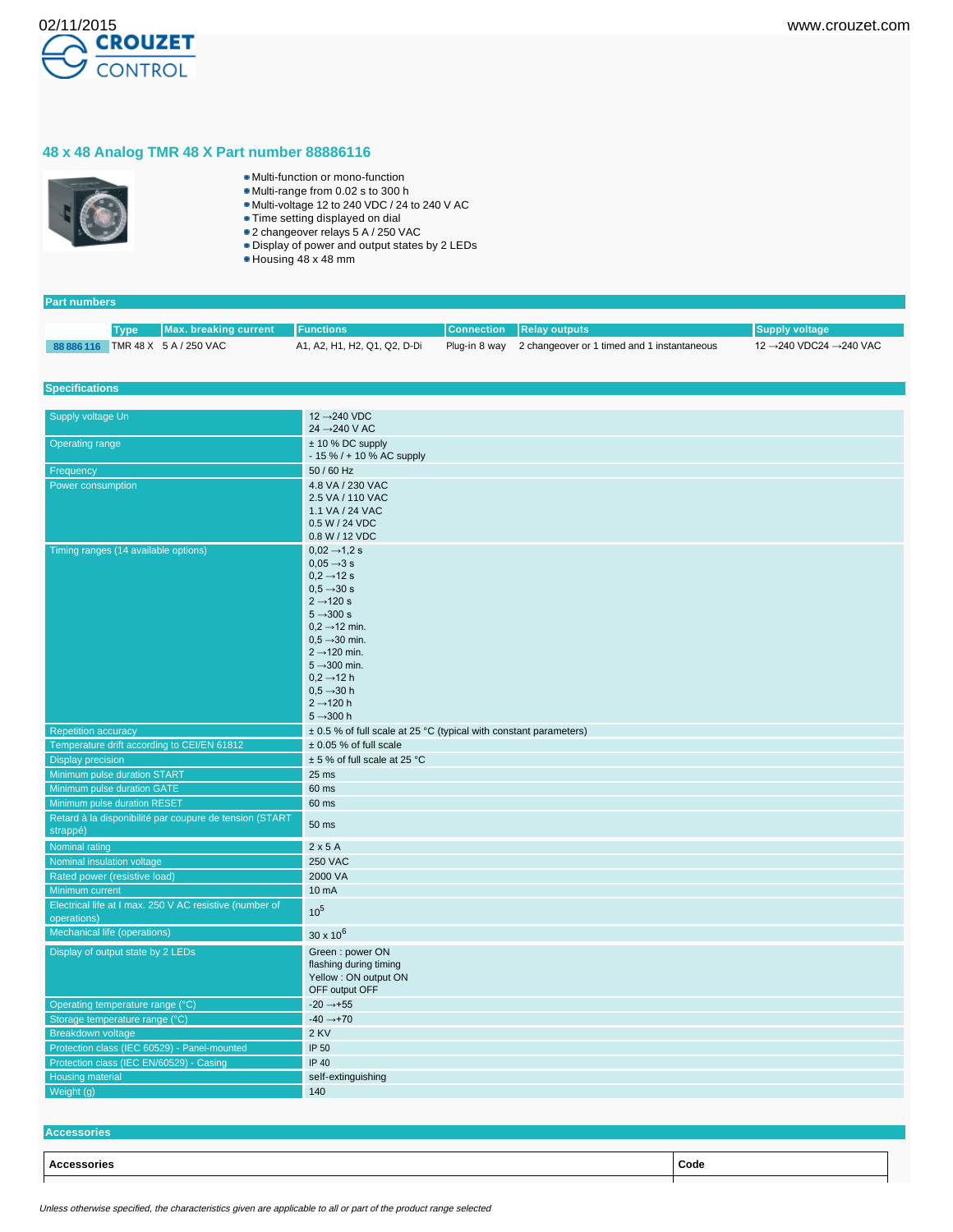## **48 x 48 Analog TMR 48 X Part number 88886116**



**Part numbers**

- Multi-function or mono-function
- Multi-range from 0.02 s to 300 h
- Multi-voltage 12 to 240 VDC / 24 to 240 V AC
- Time setting displayed on dial 2 changeover relays 5 A / 250 VAC
- Display of power and output states by 2 LEDs
- Housing 48 x 48 mm

| 88 886 116 TMR 48 X 5 A / 250 VAC<br>A1, A2, H1, H2, Q1, Q2, D-Di<br>2 changeover or 1 timed and 1 instantaneous<br>12 →240 VDC24 →240 VAC<br>Plug-in 8 way<br><b>Specifications</b><br>12 → 240 VDC<br>Supply voltage Un<br>24 $\rightarrow$ 240 V AC<br><b>Operating range</b><br>$± 10 \%$ DC supply<br>$-15\%$ / + 10 % AC supply<br>50 / 60 Hz<br>Frequency<br>4.8 VA / 230 VAC<br>Power consumption<br>2.5 VA / 110 VAC<br>1.1 VA / 24 VAC<br>0.5 W / 24 VDC<br>0.8 W / 12 VDC<br>Timing ranges (14 available options)<br>$0.02 \rightarrow 1.2$ s<br>$0.05 \rightarrow 3 s$<br>$0.2 \rightarrow 12$ s<br>$0.5 \rightarrow 30 s$<br>$2 \rightarrow 120 s$<br>$5 \rightarrow 300 s$<br>$0.2 \rightarrow 12$ min.<br>$0.5 \rightarrow 30$ min.<br>$2 \rightarrow 120$ min.<br>$5 \rightarrow 300$ min.<br>$0,2 \rightarrow 12$ h<br>$0.5 \rightarrow 30 h$<br>$2 \rightarrow 120$ h<br>$5 - 300h$<br>± 0.5 % of full scale at 25 °C (typical with constant parameters)<br><b>Repetition accuracy</b><br>Temperature drift according to CEI/EN 61812<br>$± 0.05$ % of full scale<br>± 5 % of full scale at 25 °C<br><b>Display precision</b><br>Minimum pulse duration START<br>25 ms<br>Minimum pulse duration GATE<br>60 ms<br>Minimum pulse duration RESET<br>60 ms<br>Retard à la disponibilité par coupure de tension (START<br>50 ms<br>strappé)<br>$2 \times 5$ A<br>Nominal rating<br><b>250 VAC</b><br>Nominal insulation voltage<br>2000 VA<br>Rated power (resistive load)<br>Minimum current<br>10 mA<br>Electrical life at I max. 250 V AC resistive (number of<br>10 <sup>5</sup><br>operations)<br>Mechanical life (operations)<br>$30 \times 10^{6}$<br>Display of output state by 2 LEDs<br>Green: power ON<br>flashing during timing<br>Yellow: ON output ON<br>OFF output OFF<br>$-20 \rightarrow +55$<br>Operating temperature range (°C)<br>$-40 \rightarrow +70$<br>Storage temperature range (°C)<br>2 KV<br><b>Breakdown voltage</b><br>Protection class (IEC 60529) - Panel-mounted<br>IP 50<br>Protection class (IEC EN/60529) - Casing<br><b>IP 40</b><br>Housing material<br>self-extinguishing | <b>Max. breaking current</b><br><b>Type</b> | <b>Functions</b> | <b>Connection</b> | <b>Relay outputs</b> | <b>Supply voltage</b> |
|--------------------------------------------------------------------------------------------------------------------------------------------------------------------------------------------------------------------------------------------------------------------------------------------------------------------------------------------------------------------------------------------------------------------------------------------------------------------------------------------------------------------------------------------------------------------------------------------------------------------------------------------------------------------------------------------------------------------------------------------------------------------------------------------------------------------------------------------------------------------------------------------------------------------------------------------------------------------------------------------------------------------------------------------------------------------------------------------------------------------------------------------------------------------------------------------------------------------------------------------------------------------------------------------------------------------------------------------------------------------------------------------------------------------------------------------------------------------------------------------------------------------------------------------------------------------------------------------------------------------------------------------------------------------------------------------------------------------------------------------------------------------------------------------------------------------------------------------------------------------------------------------------------------------------------------------------------------------------------------------------------------------------------------------------------------------------------------------------------------------------------|---------------------------------------------|------------------|-------------------|----------------------|-----------------------|
|                                                                                                                                                                                                                                                                                                                                                                                                                                                                                                                                                                                                                                                                                                                                                                                                                                                                                                                                                                                                                                                                                                                                                                                                                                                                                                                                                                                                                                                                                                                                                                                                                                                                                                                                                                                                                                                                                                                                                                                                                                                                                                                                |                                             |                  |                   |                      |                       |
|                                                                                                                                                                                                                                                                                                                                                                                                                                                                                                                                                                                                                                                                                                                                                                                                                                                                                                                                                                                                                                                                                                                                                                                                                                                                                                                                                                                                                                                                                                                                                                                                                                                                                                                                                                                                                                                                                                                                                                                                                                                                                                                                |                                             |                  |                   |                      |                       |
|                                                                                                                                                                                                                                                                                                                                                                                                                                                                                                                                                                                                                                                                                                                                                                                                                                                                                                                                                                                                                                                                                                                                                                                                                                                                                                                                                                                                                                                                                                                                                                                                                                                                                                                                                                                                                                                                                                                                                                                                                                                                                                                                |                                             |                  |                   |                      |                       |
|                                                                                                                                                                                                                                                                                                                                                                                                                                                                                                                                                                                                                                                                                                                                                                                                                                                                                                                                                                                                                                                                                                                                                                                                                                                                                                                                                                                                                                                                                                                                                                                                                                                                                                                                                                                                                                                                                                                                                                                                                                                                                                                                |                                             |                  |                   |                      |                       |
|                                                                                                                                                                                                                                                                                                                                                                                                                                                                                                                                                                                                                                                                                                                                                                                                                                                                                                                                                                                                                                                                                                                                                                                                                                                                                                                                                                                                                                                                                                                                                                                                                                                                                                                                                                                                                                                                                                                                                                                                                                                                                                                                |                                             |                  |                   |                      |                       |
|                                                                                                                                                                                                                                                                                                                                                                                                                                                                                                                                                                                                                                                                                                                                                                                                                                                                                                                                                                                                                                                                                                                                                                                                                                                                                                                                                                                                                                                                                                                                                                                                                                                                                                                                                                                                                                                                                                                                                                                                                                                                                                                                |                                             |                  |                   |                      |                       |
|                                                                                                                                                                                                                                                                                                                                                                                                                                                                                                                                                                                                                                                                                                                                                                                                                                                                                                                                                                                                                                                                                                                                                                                                                                                                                                                                                                                                                                                                                                                                                                                                                                                                                                                                                                                                                                                                                                                                                                                                                                                                                                                                |                                             |                  |                   |                      |                       |
|                                                                                                                                                                                                                                                                                                                                                                                                                                                                                                                                                                                                                                                                                                                                                                                                                                                                                                                                                                                                                                                                                                                                                                                                                                                                                                                                                                                                                                                                                                                                                                                                                                                                                                                                                                                                                                                                                                                                                                                                                                                                                                                                |                                             |                  |                   |                      |                       |
|                                                                                                                                                                                                                                                                                                                                                                                                                                                                                                                                                                                                                                                                                                                                                                                                                                                                                                                                                                                                                                                                                                                                                                                                                                                                                                                                                                                                                                                                                                                                                                                                                                                                                                                                                                                                                                                                                                                                                                                                                                                                                                                                |                                             |                  |                   |                      |                       |
|                                                                                                                                                                                                                                                                                                                                                                                                                                                                                                                                                                                                                                                                                                                                                                                                                                                                                                                                                                                                                                                                                                                                                                                                                                                                                                                                                                                                                                                                                                                                                                                                                                                                                                                                                                                                                                                                                                                                                                                                                                                                                                                                |                                             |                  |                   |                      |                       |
|                                                                                                                                                                                                                                                                                                                                                                                                                                                                                                                                                                                                                                                                                                                                                                                                                                                                                                                                                                                                                                                                                                                                                                                                                                                                                                                                                                                                                                                                                                                                                                                                                                                                                                                                                                                                                                                                                                                                                                                                                                                                                                                                |                                             |                  |                   |                      |                       |
|                                                                                                                                                                                                                                                                                                                                                                                                                                                                                                                                                                                                                                                                                                                                                                                                                                                                                                                                                                                                                                                                                                                                                                                                                                                                                                                                                                                                                                                                                                                                                                                                                                                                                                                                                                                                                                                                                                                                                                                                                                                                                                                                |                                             |                  |                   |                      |                       |
|                                                                                                                                                                                                                                                                                                                                                                                                                                                                                                                                                                                                                                                                                                                                                                                                                                                                                                                                                                                                                                                                                                                                                                                                                                                                                                                                                                                                                                                                                                                                                                                                                                                                                                                                                                                                                                                                                                                                                                                                                                                                                                                                |                                             |                  |                   |                      |                       |
|                                                                                                                                                                                                                                                                                                                                                                                                                                                                                                                                                                                                                                                                                                                                                                                                                                                                                                                                                                                                                                                                                                                                                                                                                                                                                                                                                                                                                                                                                                                                                                                                                                                                                                                                                                                                                                                                                                                                                                                                                                                                                                                                |                                             |                  |                   |                      |                       |
|                                                                                                                                                                                                                                                                                                                                                                                                                                                                                                                                                                                                                                                                                                                                                                                                                                                                                                                                                                                                                                                                                                                                                                                                                                                                                                                                                                                                                                                                                                                                                                                                                                                                                                                                                                                                                                                                                                                                                                                                                                                                                                                                |                                             |                  |                   |                      |                       |
|                                                                                                                                                                                                                                                                                                                                                                                                                                                                                                                                                                                                                                                                                                                                                                                                                                                                                                                                                                                                                                                                                                                                                                                                                                                                                                                                                                                                                                                                                                                                                                                                                                                                                                                                                                                                                                                                                                                                                                                                                                                                                                                                |                                             |                  |                   |                      |                       |
|                                                                                                                                                                                                                                                                                                                                                                                                                                                                                                                                                                                                                                                                                                                                                                                                                                                                                                                                                                                                                                                                                                                                                                                                                                                                                                                                                                                                                                                                                                                                                                                                                                                                                                                                                                                                                                                                                                                                                                                                                                                                                                                                |                                             |                  |                   |                      |                       |
|                                                                                                                                                                                                                                                                                                                                                                                                                                                                                                                                                                                                                                                                                                                                                                                                                                                                                                                                                                                                                                                                                                                                                                                                                                                                                                                                                                                                                                                                                                                                                                                                                                                                                                                                                                                                                                                                                                                                                                                                                                                                                                                                |                                             |                  |                   |                      |                       |
|                                                                                                                                                                                                                                                                                                                                                                                                                                                                                                                                                                                                                                                                                                                                                                                                                                                                                                                                                                                                                                                                                                                                                                                                                                                                                                                                                                                                                                                                                                                                                                                                                                                                                                                                                                                                                                                                                                                                                                                                                                                                                                                                |                                             |                  |                   |                      |                       |
|                                                                                                                                                                                                                                                                                                                                                                                                                                                                                                                                                                                                                                                                                                                                                                                                                                                                                                                                                                                                                                                                                                                                                                                                                                                                                                                                                                                                                                                                                                                                                                                                                                                                                                                                                                                                                                                                                                                                                                                                                                                                                                                                |                                             |                  |                   |                      |                       |
|                                                                                                                                                                                                                                                                                                                                                                                                                                                                                                                                                                                                                                                                                                                                                                                                                                                                                                                                                                                                                                                                                                                                                                                                                                                                                                                                                                                                                                                                                                                                                                                                                                                                                                                                                                                                                                                                                                                                                                                                                                                                                                                                |                                             |                  |                   |                      |                       |
|                                                                                                                                                                                                                                                                                                                                                                                                                                                                                                                                                                                                                                                                                                                                                                                                                                                                                                                                                                                                                                                                                                                                                                                                                                                                                                                                                                                                                                                                                                                                                                                                                                                                                                                                                                                                                                                                                                                                                                                                                                                                                                                                |                                             |                  |                   |                      |                       |
|                                                                                                                                                                                                                                                                                                                                                                                                                                                                                                                                                                                                                                                                                                                                                                                                                                                                                                                                                                                                                                                                                                                                                                                                                                                                                                                                                                                                                                                                                                                                                                                                                                                                                                                                                                                                                                                                                                                                                                                                                                                                                                                                |                                             |                  |                   |                      |                       |
|                                                                                                                                                                                                                                                                                                                                                                                                                                                                                                                                                                                                                                                                                                                                                                                                                                                                                                                                                                                                                                                                                                                                                                                                                                                                                                                                                                                                                                                                                                                                                                                                                                                                                                                                                                                                                                                                                                                                                                                                                                                                                                                                |                                             |                  |                   |                      |                       |
|                                                                                                                                                                                                                                                                                                                                                                                                                                                                                                                                                                                                                                                                                                                                                                                                                                                                                                                                                                                                                                                                                                                                                                                                                                                                                                                                                                                                                                                                                                                                                                                                                                                                                                                                                                                                                                                                                                                                                                                                                                                                                                                                |                                             |                  |                   |                      |                       |
|                                                                                                                                                                                                                                                                                                                                                                                                                                                                                                                                                                                                                                                                                                                                                                                                                                                                                                                                                                                                                                                                                                                                                                                                                                                                                                                                                                                                                                                                                                                                                                                                                                                                                                                                                                                                                                                                                                                                                                                                                                                                                                                                |                                             |                  |                   |                      |                       |
|                                                                                                                                                                                                                                                                                                                                                                                                                                                                                                                                                                                                                                                                                                                                                                                                                                                                                                                                                                                                                                                                                                                                                                                                                                                                                                                                                                                                                                                                                                                                                                                                                                                                                                                                                                                                                                                                                                                                                                                                                                                                                                                                |                                             |                  |                   |                      |                       |
|                                                                                                                                                                                                                                                                                                                                                                                                                                                                                                                                                                                                                                                                                                                                                                                                                                                                                                                                                                                                                                                                                                                                                                                                                                                                                                                                                                                                                                                                                                                                                                                                                                                                                                                                                                                                                                                                                                                                                                                                                                                                                                                                |                                             |                  |                   |                      |                       |
|                                                                                                                                                                                                                                                                                                                                                                                                                                                                                                                                                                                                                                                                                                                                                                                                                                                                                                                                                                                                                                                                                                                                                                                                                                                                                                                                                                                                                                                                                                                                                                                                                                                                                                                                                                                                                                                                                                                                                                                                                                                                                                                                |                                             |                  |                   |                      |                       |
|                                                                                                                                                                                                                                                                                                                                                                                                                                                                                                                                                                                                                                                                                                                                                                                                                                                                                                                                                                                                                                                                                                                                                                                                                                                                                                                                                                                                                                                                                                                                                                                                                                                                                                                                                                                                                                                                                                                                                                                                                                                                                                                                |                                             |                  |                   |                      |                       |
|                                                                                                                                                                                                                                                                                                                                                                                                                                                                                                                                                                                                                                                                                                                                                                                                                                                                                                                                                                                                                                                                                                                                                                                                                                                                                                                                                                                                                                                                                                                                                                                                                                                                                                                                                                                                                                                                                                                                                                                                                                                                                                                                |                                             |                  |                   |                      |                       |
|                                                                                                                                                                                                                                                                                                                                                                                                                                                                                                                                                                                                                                                                                                                                                                                                                                                                                                                                                                                                                                                                                                                                                                                                                                                                                                                                                                                                                                                                                                                                                                                                                                                                                                                                                                                                                                                                                                                                                                                                                                                                                                                                |                                             |                  |                   |                      |                       |
|                                                                                                                                                                                                                                                                                                                                                                                                                                                                                                                                                                                                                                                                                                                                                                                                                                                                                                                                                                                                                                                                                                                                                                                                                                                                                                                                                                                                                                                                                                                                                                                                                                                                                                                                                                                                                                                                                                                                                                                                                                                                                                                                |                                             |                  |                   |                      |                       |
|                                                                                                                                                                                                                                                                                                                                                                                                                                                                                                                                                                                                                                                                                                                                                                                                                                                                                                                                                                                                                                                                                                                                                                                                                                                                                                                                                                                                                                                                                                                                                                                                                                                                                                                                                                                                                                                                                                                                                                                                                                                                                                                                |                                             |                  |                   |                      |                       |
|                                                                                                                                                                                                                                                                                                                                                                                                                                                                                                                                                                                                                                                                                                                                                                                                                                                                                                                                                                                                                                                                                                                                                                                                                                                                                                                                                                                                                                                                                                                                                                                                                                                                                                                                                                                                                                                                                                                                                                                                                                                                                                                                |                                             |                  |                   |                      |                       |
|                                                                                                                                                                                                                                                                                                                                                                                                                                                                                                                                                                                                                                                                                                                                                                                                                                                                                                                                                                                                                                                                                                                                                                                                                                                                                                                                                                                                                                                                                                                                                                                                                                                                                                                                                                                                                                                                                                                                                                                                                                                                                                                                |                                             |                  |                   |                      |                       |
|                                                                                                                                                                                                                                                                                                                                                                                                                                                                                                                                                                                                                                                                                                                                                                                                                                                                                                                                                                                                                                                                                                                                                                                                                                                                                                                                                                                                                                                                                                                                                                                                                                                                                                                                                                                                                                                                                                                                                                                                                                                                                                                                |                                             |                  |                   |                      |                       |
|                                                                                                                                                                                                                                                                                                                                                                                                                                                                                                                                                                                                                                                                                                                                                                                                                                                                                                                                                                                                                                                                                                                                                                                                                                                                                                                                                                                                                                                                                                                                                                                                                                                                                                                                                                                                                                                                                                                                                                                                                                                                                                                                |                                             |                  |                   |                      |                       |
|                                                                                                                                                                                                                                                                                                                                                                                                                                                                                                                                                                                                                                                                                                                                                                                                                                                                                                                                                                                                                                                                                                                                                                                                                                                                                                                                                                                                                                                                                                                                                                                                                                                                                                                                                                                                                                                                                                                                                                                                                                                                                                                                |                                             |                  |                   |                      |                       |
|                                                                                                                                                                                                                                                                                                                                                                                                                                                                                                                                                                                                                                                                                                                                                                                                                                                                                                                                                                                                                                                                                                                                                                                                                                                                                                                                                                                                                                                                                                                                                                                                                                                                                                                                                                                                                                                                                                                                                                                                                                                                                                                                |                                             |                  |                   |                      |                       |
|                                                                                                                                                                                                                                                                                                                                                                                                                                                                                                                                                                                                                                                                                                                                                                                                                                                                                                                                                                                                                                                                                                                                                                                                                                                                                                                                                                                                                                                                                                                                                                                                                                                                                                                                                                                                                                                                                                                                                                                                                                                                                                                                |                                             |                  |                   |                      |                       |
|                                                                                                                                                                                                                                                                                                                                                                                                                                                                                                                                                                                                                                                                                                                                                                                                                                                                                                                                                                                                                                                                                                                                                                                                                                                                                                                                                                                                                                                                                                                                                                                                                                                                                                                                                                                                                                                                                                                                                                                                                                                                                                                                |                                             |                  |                   |                      |                       |
|                                                                                                                                                                                                                                                                                                                                                                                                                                                                                                                                                                                                                                                                                                                                                                                                                                                                                                                                                                                                                                                                                                                                                                                                                                                                                                                                                                                                                                                                                                                                                                                                                                                                                                                                                                                                                                                                                                                                                                                                                                                                                                                                |                                             |                  |                   |                      |                       |
|                                                                                                                                                                                                                                                                                                                                                                                                                                                                                                                                                                                                                                                                                                                                                                                                                                                                                                                                                                                                                                                                                                                                                                                                                                                                                                                                                                                                                                                                                                                                                                                                                                                                                                                                                                                                                                                                                                                                                                                                                                                                                                                                |                                             |                  |                   |                      |                       |
|                                                                                                                                                                                                                                                                                                                                                                                                                                                                                                                                                                                                                                                                                                                                                                                                                                                                                                                                                                                                                                                                                                                                                                                                                                                                                                                                                                                                                                                                                                                                                                                                                                                                                                                                                                                                                                                                                                                                                                                                                                                                                                                                |                                             |                  |                   |                      |                       |
|                                                                                                                                                                                                                                                                                                                                                                                                                                                                                                                                                                                                                                                                                                                                                                                                                                                                                                                                                                                                                                                                                                                                                                                                                                                                                                                                                                                                                                                                                                                                                                                                                                                                                                                                                                                                                                                                                                                                                                                                                                                                                                                                |                                             |                  |                   |                      |                       |
|                                                                                                                                                                                                                                                                                                                                                                                                                                                                                                                                                                                                                                                                                                                                                                                                                                                                                                                                                                                                                                                                                                                                                                                                                                                                                                                                                                                                                                                                                                                                                                                                                                                                                                                                                                                                                                                                                                                                                                                                                                                                                                                                |                                             |                  |                   |                      |                       |
|                                                                                                                                                                                                                                                                                                                                                                                                                                                                                                                                                                                                                                                                                                                                                                                                                                                                                                                                                                                                                                                                                                                                                                                                                                                                                                                                                                                                                                                                                                                                                                                                                                                                                                                                                                                                                                                                                                                                                                                                                                                                                                                                |                                             |                  |                   |                      |                       |
|                                                                                                                                                                                                                                                                                                                                                                                                                                                                                                                                                                                                                                                                                                                                                                                                                                                                                                                                                                                                                                                                                                                                                                                                                                                                                                                                                                                                                                                                                                                                                                                                                                                                                                                                                                                                                                                                                                                                                                                                                                                                                                                                | Weight (g)                                  | 140              |                   |                      |                       |

**Accessories Accessories Code**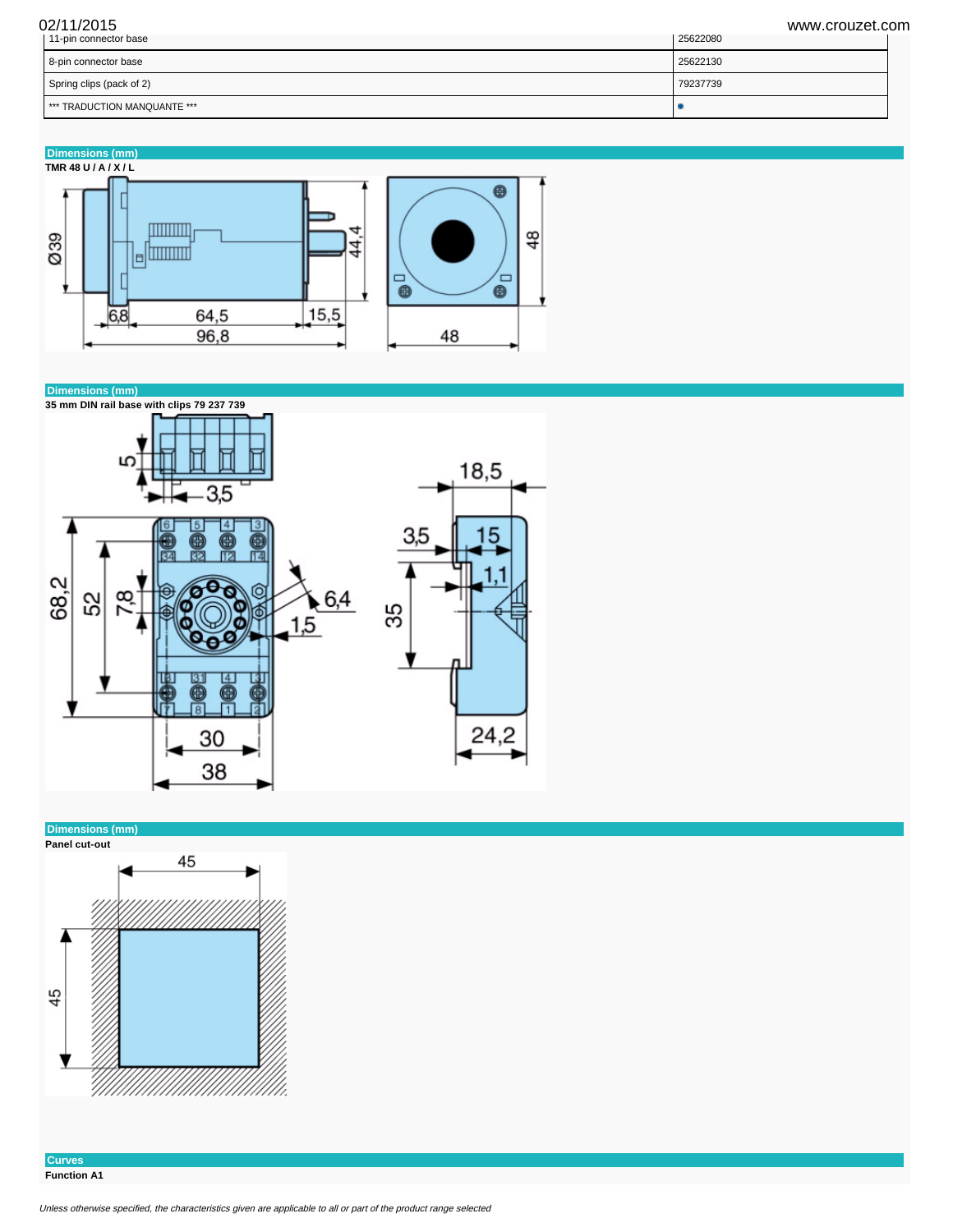| 02/11/2015<br>11-pin connector base | www.crouzet.com<br>25622080 |
|-------------------------------------|-----------------------------|
| 8-pin connector base                | 25622130                    |
| Spring clips (pack of 2)            | 79237739                    |
| I *** TRADUCTION MANQUANTE ***      |                             |





## **Dimensions (mm)**



**Curves Function A1**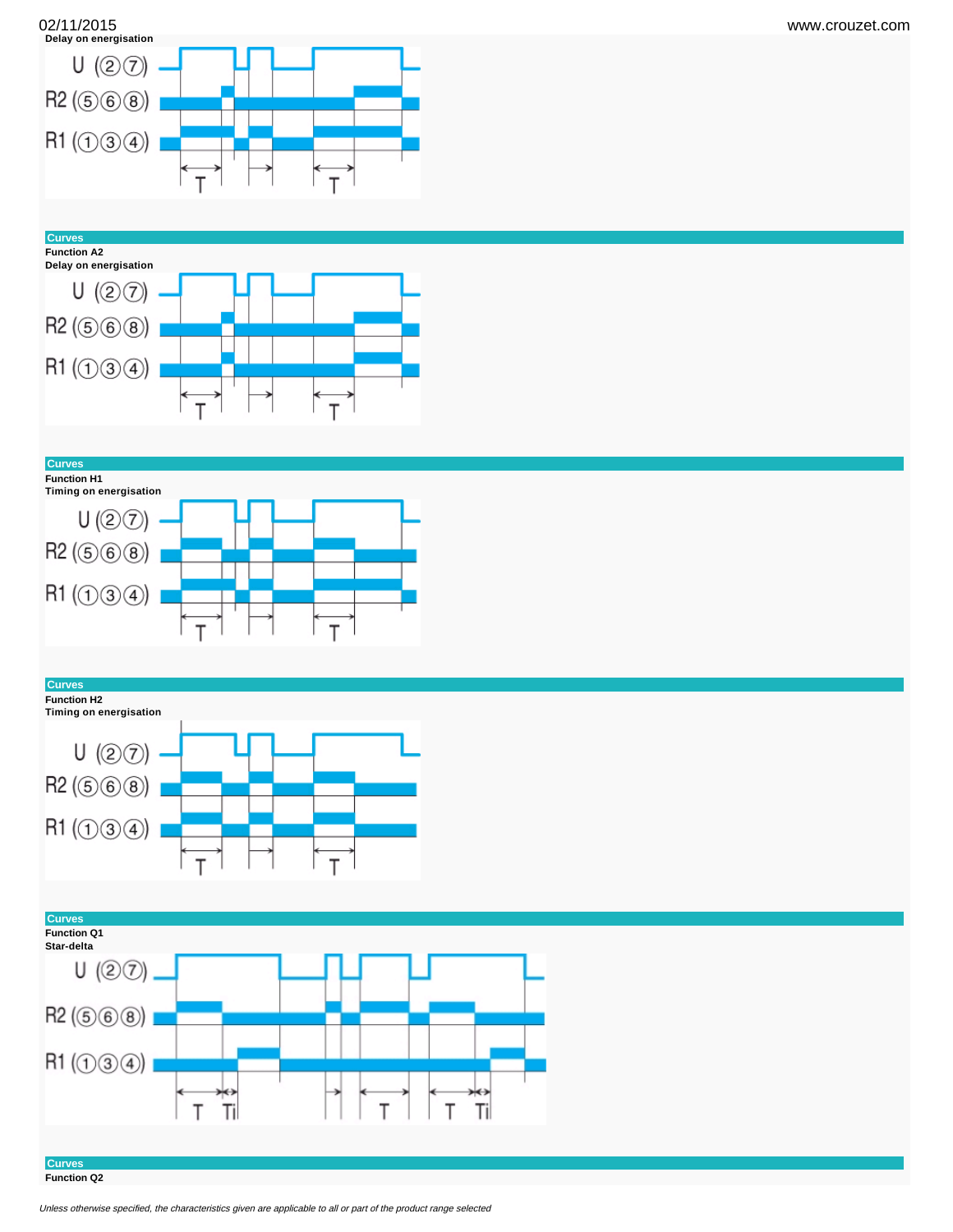



**Curves**





**Curves**



## **Curves**

**Function H2**







**Curves Function Q2**